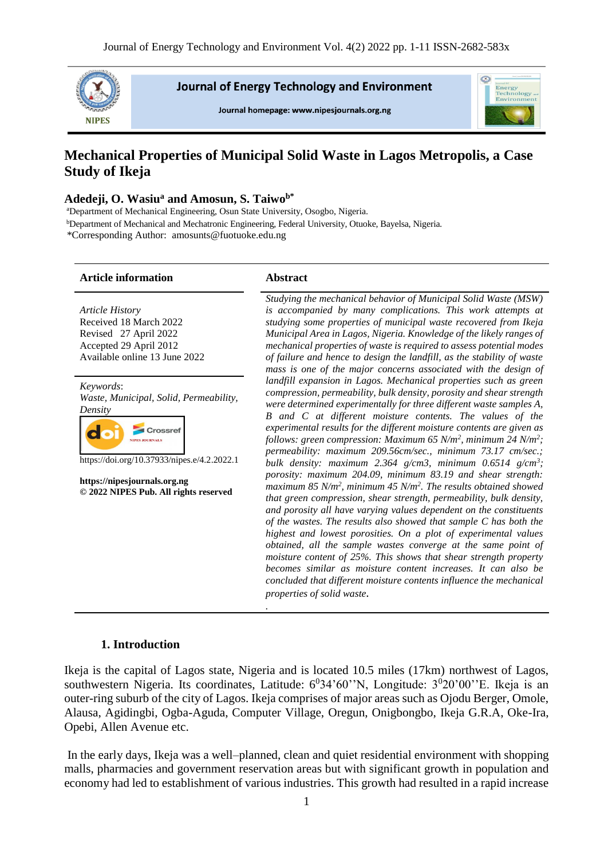

**Journal of Energy Technology and Environment** 

Journal homepage: www.nipesjournals.org.ng



# **Mechanical Properties of Municipal Solid Waste in Lagos Metropolis, a Case Study of Ikeja**

## **Adedeji, O. Wasiu<sup>a</sup> and Amosun, S. Taiwob\***

<sup>a</sup>Department of Mechanical Engineering, Osun State University, Osogbo, Nigeria. <sup>b</sup>Department of Mechanical and Mechatronic Engineering, Federal University, Otuoke, Bayelsa, Nigeria*.* \*Corresponding Author: amosunts@fuotuoke.edu.ng

#### **Article information Abstract**

*Article History* Received 18 March 2022 Revised 27 April 2022 Accepted 29 April 2012 Available online 13 June 2022

*Keywords*: *Waste, Municipal, Solid, Permeability, Density*



https://doi.org/10.37933/nipes.e/4.2.2022.1

**https://nipesjournals.org.ng © 2022 NIPES Pub. All rights reserved**

*Studying the mechanical behavior of Municipal Solid Waste (MSW) is accompanied by many complications. This work attempts at studying some properties of municipal waste recovered from Ikeja Municipal Area in Lagos, Nigeria. Knowledge of the likely ranges of mechanical properties of waste is required to assess potential modes of failure and hence to design the landfill, as the stability of waste*  mass is one of the major concerns associated with the design of *landfill expansion in Lagos. Mechanical properties such as green compression, permeability, bulk density, porosity and shear strength were determined experimentally for three different waste samples A, B and C at different moisture contents. The values of the experimental results for the different moisture contents are given as follows: green compression: Maximum 65 N/m<sup>2</sup> , minimum 24 N/m<sup>2</sup> ; permeability: maximum 209.56cm/sec., minimum 73.17 cm/sec.; bulk density: maximum 2.364 g/cm3, minimum 0.6514 g/cm<sup>3</sup> ; porosity: maximum 204.09, minimum 83.19 and shear strength: maximum 85 N/m<sup>2</sup> , minimum 45 N/m<sup>2</sup> . The results obtained showed that green compression, shear strength, permeability, bulk density, and porosity all have varying values dependent on the constituents of the wastes. The results also showed that sample C has both the highest and lowest porosities. On a plot of experimental values obtained, all the sample wastes converge at the same point of moisture content of 25%. This shows that shear strength property becomes similar as moisture content increases. It can also be concluded that different moisture contents influence the mechanical properties of solid waste.*

## **1. Introduction**

Ikeja is the capital of Lagos state, Nigeria and is located 10.5 miles (17km) northwest of Lagos, southwestern Nigeria. Its coordinates, Latitude:  $6^034^060''$ N, Longitude:  $3^020'00''$ E. Ikeja is an outer-ring suburb of the city of Lagos. Ikeja comprises of major areas such as Ojodu Berger, Omole, Alausa, Agidingbi, Ogba-Aguda, Computer Village, Oregun, Onigbongbo, Ikeja G.R.A, Oke-Ira, Opebi, Allen Avenue etc.

*.*

In the early days, Ikeja was a well–planned, clean and quiet residential environment with shopping malls, pharmacies and government reservation areas but with significant growth in population and economy had led to establishment of various industries. This growth had resulted in a rapid increase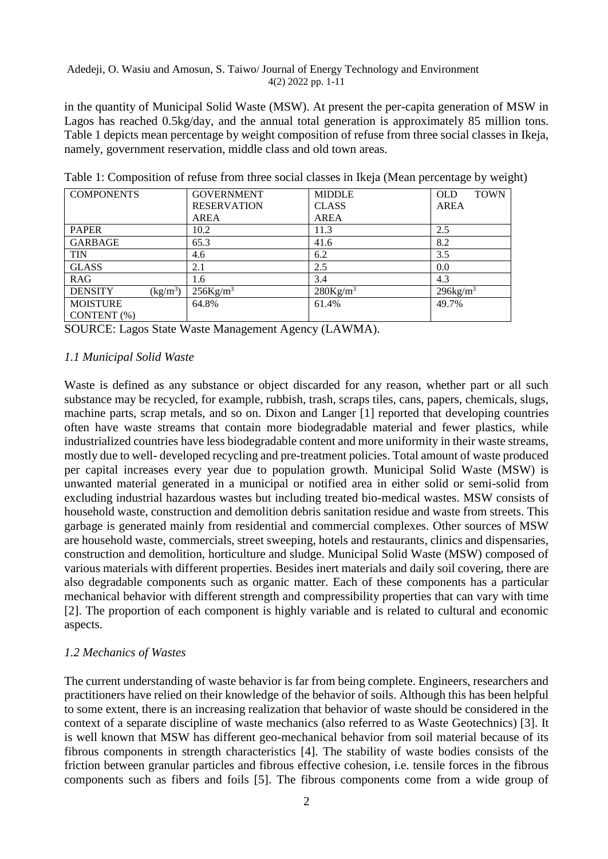in the quantity of Municipal Solid Waste (MSW). At present the per-capita generation of MSW in Lagos has reached 0.5kg/day, and the annual total generation is approximately 85 million tons. Table 1 depicts mean percentage by weight composition of refuse from three social classes in Ikeja, namely, government reservation, middle class and old town areas.

| <b>COMPONENTS</b>                                | <b>GOVERNMENT</b>       | <b>MIDDLE</b>        | <b>TOWN</b><br><b>OLD</b> |
|--------------------------------------------------|-------------------------|----------------------|---------------------------|
|                                                  | <b>RESERVATION</b>      | <b>CLASS</b>         | <b>AREA</b>               |
|                                                  | AREA                    | <b>AREA</b>          |                           |
| <b>PAPER</b>                                     | 10.2                    | 11.3                 | 2.5                       |
| <b>GARBAGE</b>                                   | 65.3                    | 41.6                 | 8.2                       |
| <b>TIN</b>                                       | 4.6                     | 6.2                  | 3.5                       |
| <b>GLASS</b>                                     | 2.1                     | 2.5                  | 0.0                       |
| <b>RAG</b>                                       | 1.6                     | 3.4                  | 4.3                       |
| $\frac{\text{kg}}{\text{m}^3}$<br><b>DENSITY</b> | $256$ Kg/m <sup>3</sup> | 280Kg/m <sup>3</sup> | $296$ kg/m <sup>3</sup>   |
| <b>MOISTURE</b>                                  | 64.8%                   | 61.4%                | 49.7%                     |
| CONTENT (%)                                      |                         |                      |                           |

Table 1: Composition of refuse from three social classes in Ikeja (Mean percentage by weight)

SOURCE: Lagos State Waste Management Agency (LAWMA).

# *1.1 Municipal Solid Waste*

Waste is defined as any substance or object discarded for any reason, whether part or all such substance may be recycled, for example, rubbish, trash, scraps tiles, cans, papers, chemicals, slugs, machine parts, scrap metals, and so on. Dixon and Langer [1] reported that developing countries often have waste streams that contain more biodegradable material and fewer plastics, while industrialized countries have less biodegradable content and more uniformity in their waste streams, mostly due to well- developed recycling and pre-treatment policies. Total amount of waste produced per capital increases every year due to population growth. Municipal Solid Waste (MSW) is unwanted material generated in a municipal or notified area in either solid or semi-solid from excluding industrial hazardous wastes but including treated bio-medical wastes. MSW consists of household waste, construction and demolition debris sanitation residue and waste from streets. This garbage is generated mainly from residential and commercial complexes. Other sources of MSW are household waste, commercials, street sweeping, hotels and restaurants, clinics and dispensaries, construction and demolition, horticulture and sludge. Municipal Solid Waste (MSW) composed of various materials with different properties. Besides inert materials and daily soil covering, there are also degradable components such as organic matter. Each of these components has a particular mechanical behavior with different strength and compressibility properties that can vary with time [2]. The proportion of each component is highly variable and is related to cultural and economic aspects.

# *1.2 Mechanics of Wastes*

The current understanding of waste behavior is far from being complete. Engineers, researchers and practitioners have relied on their knowledge of the behavior of soils. Although this has been helpful to some extent, there is an increasing realization that behavior of waste should be considered in the context of a separate discipline of waste mechanics (also referred to as Waste Geotechnics) [3]. It is well known that MSW has different geo-mechanical behavior from soil material because of its fibrous components in strength characteristics [4]. The stability of waste bodies consists of the friction between granular particles and fibrous effective cohesion, i.e. tensile forces in the fibrous components such as fibers and foils [5]. The fibrous components come from a wide group of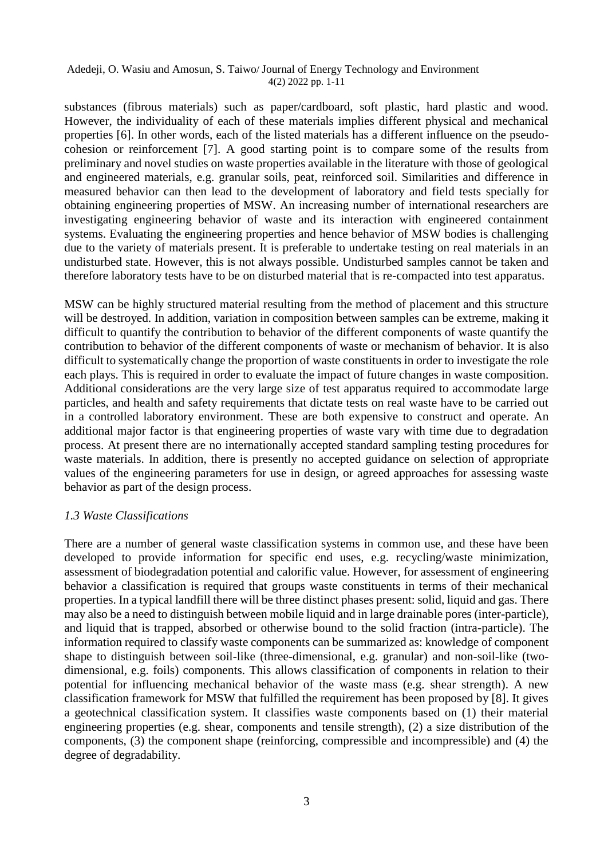substances (fibrous materials) such as paper/cardboard, soft plastic, hard plastic and wood. However, the individuality of each of these materials implies different physical and mechanical properties [6]. In other words, each of the listed materials has a different influence on the pseudocohesion or reinforcement [7]. A good starting point is to compare some of the results from preliminary and novel studies on waste properties available in the literature with those of geological and engineered materials, e.g. granular soils, peat, reinforced soil. Similarities and difference in measured behavior can then lead to the development of laboratory and field tests specially for obtaining engineering properties of MSW. An increasing number of international researchers are investigating engineering behavior of waste and its interaction with engineered containment systems. Evaluating the engineering properties and hence behavior of MSW bodies is challenging due to the variety of materials present. It is preferable to undertake testing on real materials in an undisturbed state. However, this is not always possible. Undisturbed samples cannot be taken and therefore laboratory tests have to be on disturbed material that is re-compacted into test apparatus.

MSW can be highly structured material resulting from the method of placement and this structure will be destroyed. In addition, variation in composition between samples can be extreme, making it difficult to quantify the contribution to behavior of the different components of waste quantify the contribution to behavior of the different components of waste or mechanism of behavior. It is also difficult to systematically change the proportion of waste constituents in order to investigate the role each plays. This is required in order to evaluate the impact of future changes in waste composition. Additional considerations are the very large size of test apparatus required to accommodate large particles, and health and safety requirements that dictate tests on real waste have to be carried out in a controlled laboratory environment. These are both expensive to construct and operate. An additional major factor is that engineering properties of waste vary with time due to degradation process. At present there are no internationally accepted standard sampling testing procedures for waste materials. In addition, there is presently no accepted guidance on selection of appropriate values of the engineering parameters for use in design, or agreed approaches for assessing waste behavior as part of the design process.

# *1.3 Waste Classifications*

There are a number of general waste classification systems in common use, and these have been developed to provide information for specific end uses, e.g. recycling/waste minimization, assessment of biodegradation potential and calorific value. However, for assessment of engineering behavior a classification is required that groups waste constituents in terms of their mechanical properties. In a typical landfill there will be three distinct phases present: solid, liquid and gas. There may also be a need to distinguish between mobile liquid and in large drainable pores (inter-particle), and liquid that is trapped, absorbed or otherwise bound to the solid fraction (intra-particle). The information required to classify waste components can be summarized as: knowledge of component shape to distinguish between soil-like (three-dimensional, e.g. granular) and non-soil-like (twodimensional, e.g. foils) components. This allows classification of components in relation to their potential for influencing mechanical behavior of the waste mass (e.g. shear strength). A new classification framework for MSW that fulfilled the requirement has been proposed by [8]. It gives a geotechnical classification system. It classifies waste components based on (1) their material engineering properties (e.g. shear, components and tensile strength), (2) a size distribution of the components, (3) the component shape (reinforcing, compressible and incompressible) and (4) the degree of degradability.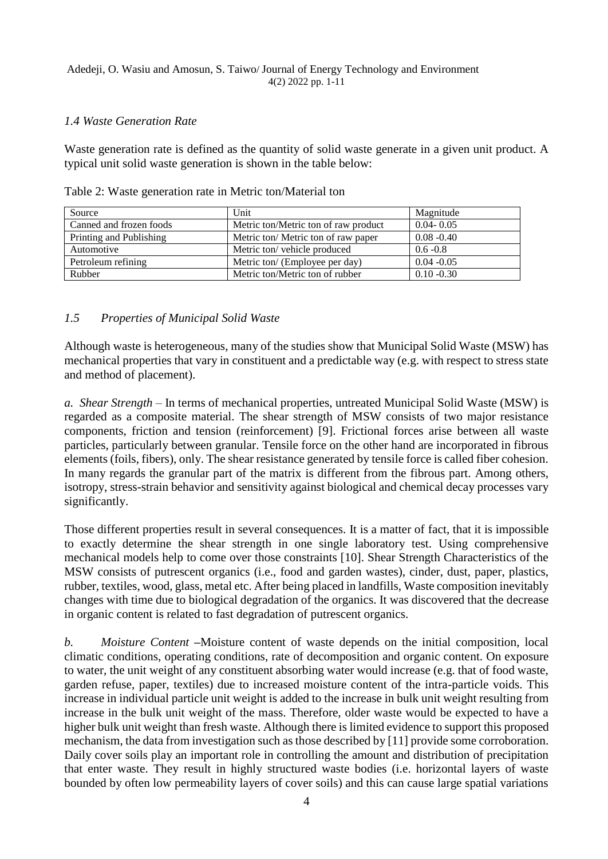# *1.4 Waste Generation Rate*

Waste generation rate is defined as the quantity of solid waste generate in a given unit product. A typical unit solid waste generation is shown in the table below:

| Source                  | Unit                                 | Magnitude     |
|-------------------------|--------------------------------------|---------------|
| Canned and frozen foods | Metric ton/Metric ton of raw product | $0.04 - 0.05$ |
| Printing and Publishing | Metric ton/ Metric ton of raw paper  | $0.08 - 0.40$ |
| Automotive              | Metric ton/vehicle produced          | $0.6 - 0.8$   |
| Petroleum refining      | Metric ton/ (Employee per day)       | $0.04 - 0.05$ |
| Rubber                  | Metric ton/Metric ton of rubber      | $0.10 - 0.30$ |

Table 2: Waste generation rate in Metric ton/Material ton

# *1.5 Properties of Municipal Solid Waste*

Although waste is heterogeneous, many of the studies show that Municipal Solid Waste (MSW) has mechanical properties that vary in constituent and a predictable way (e.g. with respect to stress state and method of placement).

*a. Shear Strength* – In terms of mechanical properties, untreated Municipal Solid Waste (MSW) is regarded as a composite material. The shear strength of MSW consists of two major resistance components, friction and tension (reinforcement) [9]. Frictional forces arise between all waste particles, particularly between granular. Tensile force on the other hand are incorporated in fibrous elements (foils, fibers), only. The shear resistance generated by tensile force is called fiber cohesion. In many regards the granular part of the matrix is different from the fibrous part. Among others, isotropy, stress-strain behavior and sensitivity against biological and chemical decay processes vary significantly.

Those different properties result in several consequences. It is a matter of fact, that it is impossible to exactly determine the shear strength in one single laboratory test. Using comprehensive mechanical models help to come over those constraints [10]. Shear Strength Characteristics of the MSW consists of putrescent organics (i.e., food and garden wastes), cinder, dust, paper, plastics, rubber, textiles, wood, glass, metal etc. After being placed in landfills, Waste composition inevitably changes with time due to biological degradation of the organics. It was discovered that the decrease in organic content is related to fast degradation of putrescent organics.

*b. Moisture Content* **–**Moisture content of waste depends on the initial composition, local climatic conditions, operating conditions, rate of decomposition and organic content. On exposure to water, the unit weight of any constituent absorbing water would increase (e.g. that of food waste, garden refuse, paper, textiles) due to increased moisture content of the intra-particle voids. This increase in individual particle unit weight is added to the increase in bulk unit weight resulting from increase in the bulk unit weight of the mass. Therefore, older waste would be expected to have a higher bulk unit weight than fresh waste. Although there is limited evidence to support this proposed mechanism, the data from investigation such as those described by [11] provide some corroboration. Daily cover soils play an important role in controlling the amount and distribution of precipitation that enter waste. They result in highly structured waste bodies (i.e. horizontal layers of waste bounded by often low permeability layers of cover soils) and this can cause large spatial variations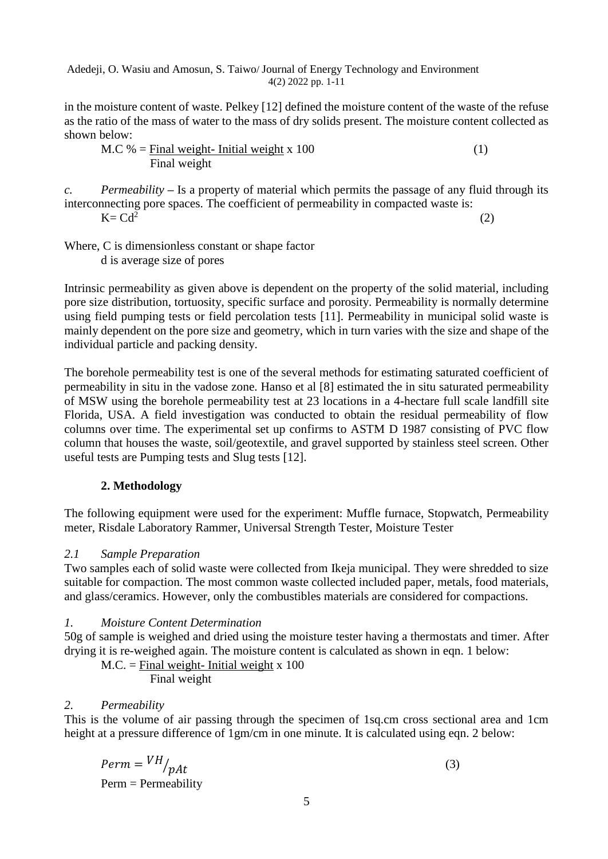in the moisture content of waste. Pelkey [12] defined the moisture content of the waste of the refuse as the ratio of the mass of water to the mass of dry solids present. The moisture content collected as shown below:

$$
M.C \text{ %} = \frac{\text{Final weight}}{\text{Final weight}} - \frac{\text{Initial weight}}{\text{width}} \times 100 \tag{1}
$$

*c. Permeability* **–** Is a property of material which permits the passage of any fluid through its interconnecting pore spaces. The coefficient of permeability in compacted waste is:  $K = Cd^2$ (2)

Where, C is dimensionless constant or shape factor d is average size of pores

Intrinsic permeability as given above is dependent on the property of the solid material, including pore size distribution, tortuosity, specific surface and porosity. Permeability is normally determine using field pumping tests or field percolation tests [11]. Permeability in municipal solid waste is mainly dependent on the pore size and geometry, which in turn varies with the size and shape of the individual particle and packing density.

The borehole permeability test is one of the several methods for estimating saturated coefficient of permeability in situ in the vadose zone. Hanso et al [8] estimated the in situ saturated permeability of MSW using the borehole permeability test at 23 locations in a 4-hectare full scale landfill site Florida, USA. A field investigation was conducted to obtain the residual permeability of flow columns over time. The experimental set up confirms to ASTM D 1987 consisting of PVC flow column that houses the waste, soil/geotextile, and gravel supported by stainless steel screen. Other useful tests are Pumping tests and Slug tests [12].

# **2. Methodology**

The following equipment were used for the experiment: Muffle furnace, Stopwatch, Permeability meter, Risdale Laboratory Rammer, Universal Strength Tester, Moisture Tester

# *2.1 Sample Preparation*

Two samples each of solid waste were collected from Ikeja municipal. They were shredded to size suitable for compaction. The most common waste collected included paper, metals, food materials, and glass/ceramics. However, only the combustibles materials are considered for compactions.

# *1. Moisture Content Determination*

50g of sample is weighed and dried using the moisture tester having a thermostats and timer. After drying it is re-weighed again. The moisture content is calculated as shown in eqn. 1 below:

 $M.C. = Final weight- Initial weight x 100$ Final weight

*2. Permeability* 

This is the volume of air passing through the specimen of 1sq.cm cross sectional area and 1cm height at a pressure difference of 1gm/cm in one minute. It is calculated using eqn. 2 below:

$$
Perm = VH / pAt
$$
\n
$$
Perm = Permeability
$$
\n(3)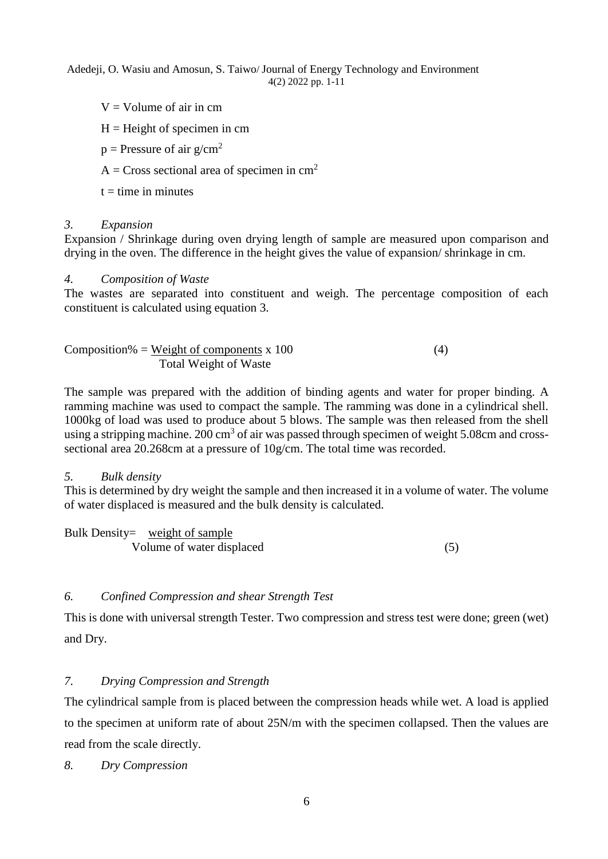- $V =$  Volume of air in cm
- $H =$ Height of specimen in cm
- $p =$ Pressure of air  $g/cm^2$

 $A = Cross$  sectional area of specimen in cm<sup>2</sup>

 $t =$  time in minutes

# *3. Expansion*

Expansion / Shrinkage during oven drying length of sample are measured upon comparison and drying in the oven. The difference in the height gives the value of expansion/ shrinkage in cm.

# *4. Composition of Waste*

The wastes are separated into constituent and weigh. The percentage composition of each constituent is calculated using equation 3.

| Composition% = Weight of components x 100 | (4, |
|-------------------------------------------|-----|
| Total Weight of Waste                     |     |

The sample was prepared with the addition of binding agents and water for proper binding. A ramming machine was used to compact the sample. The ramming was done in a cylindrical shell. 1000kg of load was used to produce about 5 blows. The sample was then released from the shell using a stripping machine. 200 cm<sup>3</sup> of air was passed through specimen of weight 5.08cm and crosssectional area 20.268cm at a pressure of 10g/cm. The total time was recorded.

# *5. Bulk density*

This is determined by dry weight the sample and then increased it in a volume of water. The volume of water displaced is measured and the bulk density is calculated.

| Bulk Density= weight of sample |  |
|--------------------------------|--|
| Volume of water displaced      |  |

# *6. Confined Compression and shear Strength Test*

This is done with universal strength Tester. Two compression and stress test were done; green (wet) and Dry.

# *7. Drying Compression and Strength*

The cylindrical sample from is placed between the compression heads while wet. A load is applied to the specimen at uniform rate of about 25N/m with the specimen collapsed. Then the values are read from the scale directly.

*8. Dry Compression*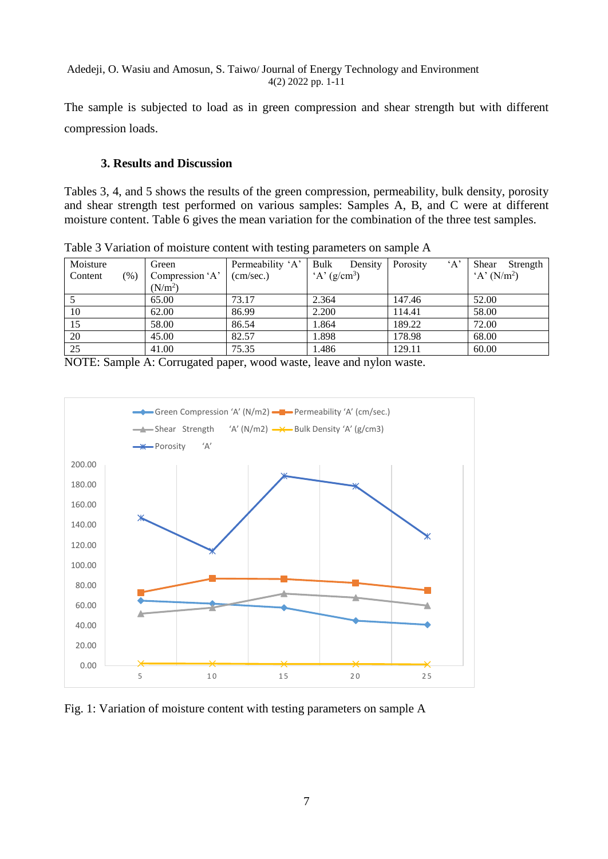The sample is subjected to load as in green compression and shear strength but with different compression loads.

# **3. Results and Discussion**

Tables 3, 4, and 5 shows the results of the green compression, permeability, bulk density, porosity and shear strength test performed on various samples: Samples A, B, and C were at different moisture content. Table 6 gives the mean variation for the combination of the three test samples.

| $\ldots$ |        |                                   |           |                           |          |          |  |                |  |
|----------|--------|-----------------------------------|-----------|---------------------------|----------|----------|--|----------------|--|
| Moisture |        | Permeability 'A'<br>Bulk<br>Green |           | Density                   | Porosity | $\Delta$ |  | Shear Strength |  |
| Content  | $(\%)$ | Compression 'A'                   | (cm/sec.) | $A'$ (g/cm <sup>3</sup> ) |          |          |  | $A' (N/m^2)$   |  |
|          |        | (N/m <sup>2</sup> )               |           |                           |          |          |  |                |  |
|          |        | 65.00                             | 73.17     | 2.364                     |          | 147.46   |  | 52.00          |  |
| 10       |        | 62.00                             | 86.99     | 2.200                     |          | 114.41   |  | 58.00          |  |
| 15       |        | 58.00                             | 86.54     | 1.864                     |          | 189.22   |  | 72.00          |  |
| 20       |        | 45.00                             | 82.57     | 1.898                     |          | 178.98   |  | 68.00          |  |
| 25       |        | 41.00                             | 75.35     | 1.486                     |          | 129.11   |  | 60.00          |  |

Table 3 Variation of moisture content with testing parameters on sample A

NOTE: Sample A: Corrugated paper, wood waste, leave and nylon waste.



Fig. 1: Variation of moisture content with testing parameters on sample A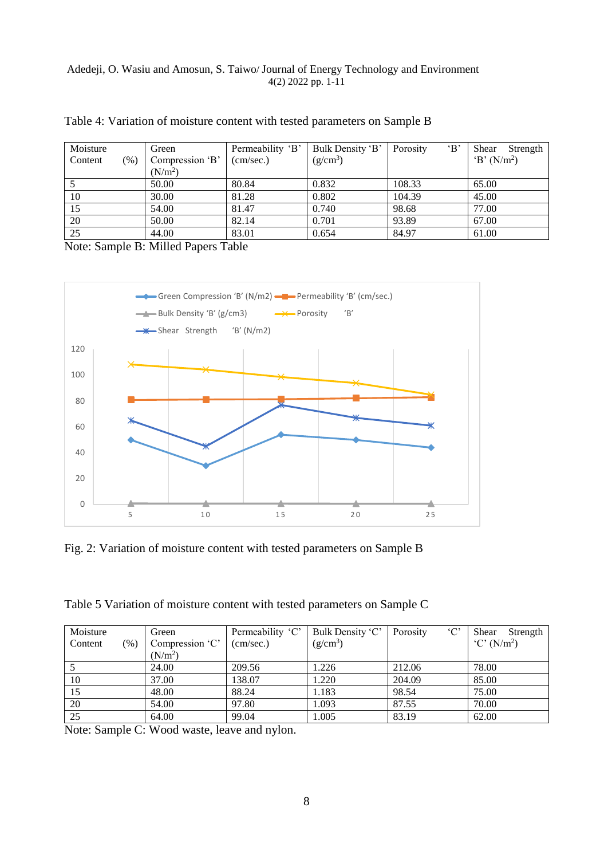| Moisture |         | Green               | Permeability 'B' | Bulk Density 'B'     | $\cdot$ B<br>Porosity | Shear<br>Strength |
|----------|---------|---------------------|------------------|----------------------|-----------------------|-------------------|
| Content  | $(\% )$ | Compression 'B'     | (cm/sec.)        | (g/cm <sup>3</sup> ) |                       | $B' (N/m^2)$      |
|          |         | (N/m <sup>2</sup> ) |                  |                      |                       |                   |
|          |         | 50.00               | 80.84            | 0.832                | 108.33                | 65.00             |
| 10       |         | 30.00               | 81.28            | 0.802                | 104.39                | 45.00             |
| 15       |         | 54.00               | 81.47            | 0.740                | 98.68                 | 77.00             |
| 20       |         | 50.00               | 82.14            | 0.701                | 93.89                 | 67.00             |
| 25       |         | 44.00               | 83.01            | 0.654                | 84.97                 | 61.00             |

Table 4: Variation of moisture content with tested parameters on Sample B

Note: Sample B: Milled Papers Table



Fig. 2: Variation of moisture content with tested parameters on Sample B

Table 5 Variation of moisture content with tested parameters on Sample C

| Moisture |        | Green           | Permeability 'C' | Bulk Density 'C' | $\cdot$ C'<br>Porosity | Shear<br>Strength                           |
|----------|--------|-----------------|------------------|------------------|------------------------|---------------------------------------------|
| Content  | $(\%)$ | Compression 'C' | (cm/sec.)        | $(g/cm^3)$       |                        | $^{\circ}$ C $^{\circ}$ (N/m <sup>2</sup> ) |
|          |        | $(N/m^2)$       |                  |                  |                        |                                             |
|          |        | 24.00           | 209.56           | 1.226            | 212.06                 | 78.00                                       |
| 10       |        | 37.00           | 138.07           | 1.220            | 204.09                 | 85.00                                       |
| 15       |        | 48.00           | 88.24            | 1.183            | 98.54                  | 75.00                                       |
| 20       |        | 54.00           | 97.80            | 1.093            | 87.55                  | 70.00                                       |
| 25       |        | 64.00           | 99.04            | 1.005            | 83.19                  | 62.00                                       |

Note: Sample C: Wood waste, leave and nylon.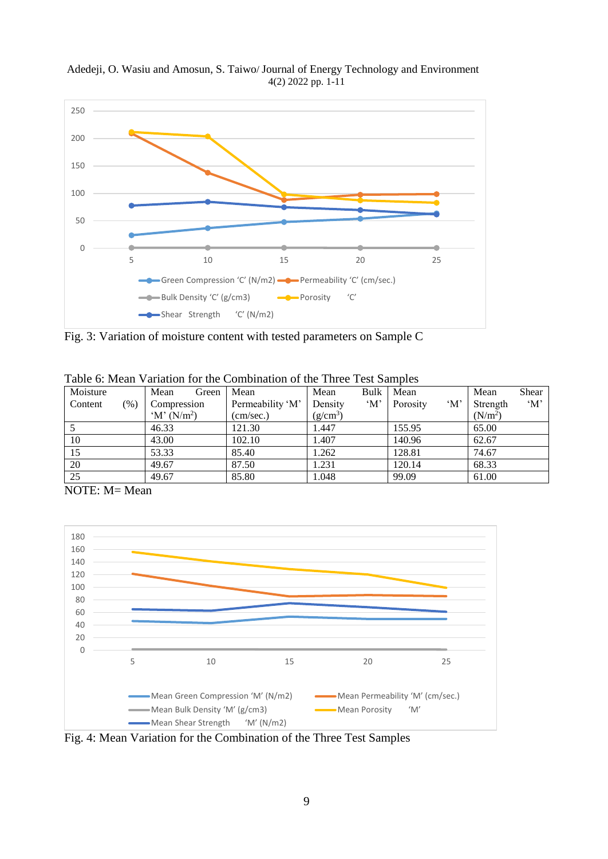

Adedeji, O. Wasiu and Amosun, S. Taiwo/ Journal of Energy Technology and Environment 4(2) 2022 pp. 1-11

Fig. 3: Variation of moisture content with tested parameters on Sample C

| Moisture    |        | Mean<br>Green                     | Mean             | Mean       | Bulk                | Mean     |                     | Mean                | Shear               |
|-------------|--------|-----------------------------------|------------------|------------|---------------------|----------|---------------------|---------------------|---------------------|
| Content     | $(\%)$ | Compression                       | Permeability 'M' | Densitv    | $^{\circ}M^{\circ}$ | Porosity | $^{\circ}M^{\circ}$ | Strength            | $^{\circ}M^{\circ}$ |
|             |        | $^{\circ}$ M' (N/m <sup>2</sup> ) | (cm/sec.)        | $(g/cm^3)$ |                     |          |                     | (N/m <sup>2</sup> ) |                     |
|             |        | 46.33                             | 121.30           | . 447      |                     | 155.95   |                     | 65.00               |                     |
| 10          |        | 43.00                             | 102.10           | l.407      |                     | 140.96   |                     | 62.67               |                     |
| 15          |        | 53.33                             | 85.40            | 1.262      |                     | 128.81   |                     | 74.67               |                     |
| 20          |        | 49.67                             | 87.50            | 1.231      |                     | 120.14   |                     | 68.33               |                     |
| 25          |        | 49.67                             | 85.80            | 1.048      |                     | 99.09    |                     | 61.00               |                     |
| - - - - - - |        |                                   |                  |            |                     |          |                     |                     |                     |

Table 6: Mean Variation for the Combination of the Three Test Samples

NOTE: M= Mean



Fig. 4: Mean Variation for the Combination of the Three Test Samples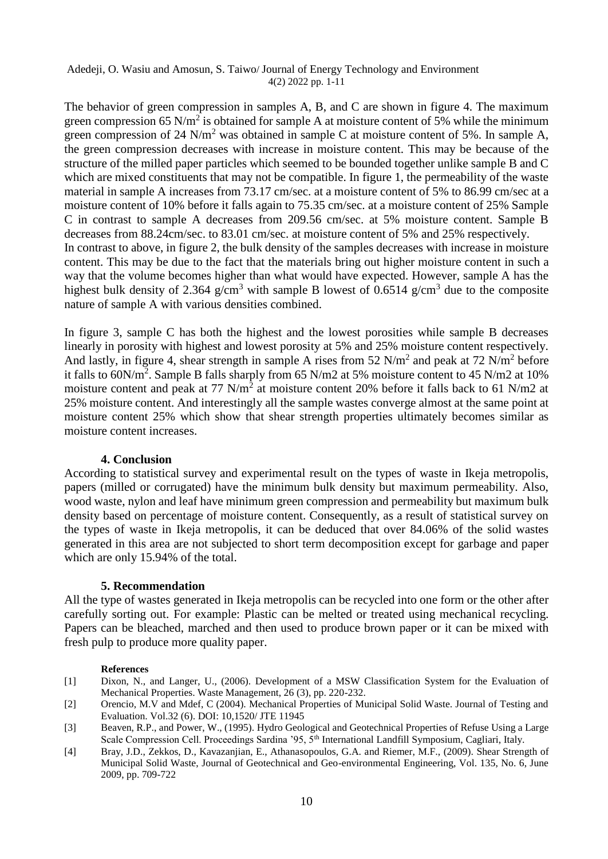The behavior of green compression in samples A, B, and C are shown in figure 4. The maximum green compression 65 N/m<sup>2</sup> is obtained for sample A at moisture content of 5% while the minimum green compression of 24 N/m<sup>2</sup> was obtained in sample C at moisture content of 5%. In sample A, the green compression decreases with increase in moisture content. This may be because of the structure of the milled paper particles which seemed to be bounded together unlike sample B and C which are mixed constituents that may not be compatible. In figure 1, the permeability of the waste material in sample A increases from 73.17 cm/sec. at a moisture content of 5% to 86.99 cm/sec at a moisture content of 10% before it falls again to 75.35 cm/sec. at a moisture content of 25% Sample C in contrast to sample A decreases from 209.56 cm/sec. at 5% moisture content. Sample B decreases from 88.24cm/sec. to 83.01 cm/sec. at moisture content of 5% and 25% respectively. In contrast to above, in figure 2, the bulk density of the samples decreases with increase in moisture content. This may be due to the fact that the materials bring out higher moisture content in such a way that the volume becomes higher than what would have expected. However, sample A has the highest bulk density of 2.364 g/cm<sup>3</sup> with sample B lowest of 0.6514 g/cm<sup>3</sup> due to the composite nature of sample A with various densities combined.

In figure 3, sample C has both the highest and the lowest porosities while sample B decreases linearly in porosity with highest and lowest porosity at 5% and 25% moisture content respectively. And lastly, in figure 4, shear strength in sample A rises from 52  $N/m^2$  and peak at 72  $N/m^2$  before it falls to 60N/m<sup>2</sup>. Sample B falls sharply from 65 N/m2 at 5% moisture content to 45 N/m2 at 10% moisture content and peak at 77 N/m<sup>2</sup> at moisture content 20% before it falls back to 61 N/m2 at 25% moisture content. And interestingly all the sample wastes converge almost at the same point at moisture content 25% which show that shear strength properties ultimately becomes similar as moisture content increases.

## **4. Conclusion**

According to statistical survey and experimental result on the types of waste in Ikeja metropolis, papers (milled or corrugated) have the minimum bulk density but maximum permeability. Also, wood waste, nylon and leaf have minimum green compression and permeability but maximum bulk density based on percentage of moisture content. Consequently, as a result of statistical survey on the types of waste in Ikeja metropolis, it can be deduced that over 84.06% of the solid wastes generated in this area are not subjected to short term decomposition except for garbage and paper which are only 15.94% of the total.

## **5. Recommendation**

All the type of wastes generated in Ikeja metropolis can be recycled into one form or the other after carefully sorting out. For example: Plastic can be melted or treated using mechanical recycling. Papers can be bleached, marched and then used to produce brown paper or it can be mixed with fresh pulp to produce more quality paper.

## **References**

- [1] Dixon, N., and Langer, U., (2006). Development of a MSW Classification System for the Evaluation of Mechanical Properties. Waste Management, 26 (3), pp. 220-232.
- [2] Orencio, M.V and Mdef, C (2004). Mechanical Properties of Municipal Solid Waste. Journal of Testing and Evaluation. Vol.32 (6). DOI: 10,1520/ JTE 11945
- [3] Beaven, R.P., and Power, W., (1995). Hydro Geological and Geotechnical Properties of Refuse Using a Large Scale Compression Cell. Proceedings Sardina '95, 5<sup>th</sup> International Landfill Symposium, Cagliari, Italy.
- [4] Bray, J.D., Zekkos, D., Kavazanjian, E., Athanasopoulos, G.A. and Riemer, M.F., (2009). Shear Strength of Municipal Solid Waste, Journal of Geotechnical and Geo-environmental Engineering, Vol. 135, No. 6, June 2009, pp. 709-722